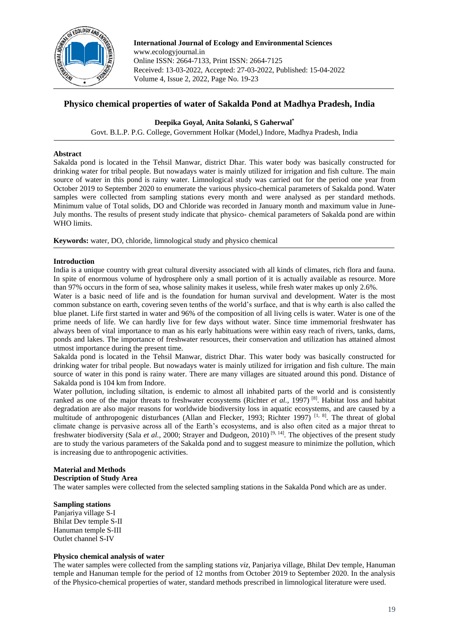

**International Journal of Ecology and Environmental Sciences** www.ecologyjournal.in Online ISSN: 2664-7133, Print ISSN: 2664-7125 Received: 13-03-2022, Accepted: 27-03-2022, Published: 15-04-2022 Volume 4, Issue 2, 2022, Page No. 19-23

# **Physico chemical properties of water of Sakalda Pond at Madhya Pradesh, India**

**Deepika Goyal, Anita Solanki, S Gaherwal\***

Govt. B.L.P. P.G. College, Government Holkar (Model,) Indore, Madhya Pradesh, India

### **Abstract**

Sakalda pond is located in the Tehsil Manwar, district Dhar. This water body was basically constructed for drinking water for tribal people. But nowadays water is mainly utilized for irrigation and fish culture. The main source of water in this pond is rainy water. Limnological study was carried out for the period one year from October 2019 to September 2020 to enumerate the various physico-chemical parameters of Sakalda pond. Water samples were collected from sampling stations every month and were analysed as per standard methods. Minimum value of Total solids, DO and Chloride was recorded in January month and maximum value in June-July months. The results of present study indicate that physico- chemical parameters of Sakalda pond are within WHO limits.

**Keywords:** water, DO, chloride, limnological study and physico chemical

### **Introduction**

India is a unique country with great cultural diversity associated with all kinds of climates, rich flora and fauna. In spite of enormous volume of hydrosphere only a small portion of it is actually available as resource. More than 97% occurs in the form of sea, whose salinity makes it useless, while fresh water makes up only 2.6%.

Water is a basic need of life and is the foundation for human survival and development. Water is the most common substance on earth, covering seven tenths of the world's surface, and that is why earth is also called the blue planet. Life first started in water and 96% of the composition of all living cells is water. Water is one of the prime needs of life. We can hardly live for few days without water. Since time immemorial freshwater has always been of vital importance to man as his early habituations were within easy reach of rivers, tanks, dams, ponds and lakes. The importance of freshwater resources, their conservation and utilization has attained almost utmost importance during the present time.

Sakalda pond is located in the Tehsil Manwar, district Dhar. This water body was basically constructed for drinking water for tribal people. But nowadays water is mainly utilized for irrigation and fish culture. The main source of water in this pond is rainy water. There are many villages are situated around this pond. Distance of Sakalda pond is 104 km from Indore.

Water pollution, including siltation, is endemic to almost all inhabited parts of the world and is consistently ranked as one of the major threats to freshwater ecosystems (Richter *et al.*, 1997)<sup>[8]</sup>. Habitat loss and habitat degradation are also major reasons for worldwide biodiversity loss in aquatic ecosystems, and are caused by a multitude of anthropogenic disturbances (Allan and Flecker, 1993; Richter 1997)<sup>[1, 8]</sup>. The threat of global climate change is pervasive across all of the Earth's ecosystems, and is also often cited as a major threat to freshwater biodiversity (Sala *et al.*, 2000; Strayer and Dudgeon, 2010)<sup>[9, 14]</sup>. The objectives of the present study are to study the various parameters of the Sakalda pond and to suggest measure to minimize the pollution, which is increasing due to anthropogenic activities.

### **Material and Methods**

**Description of Study Area**

The water samples were collected from the selected sampling stations in the Sakalda Pond which are as under.

#### **Sampling stations**

Panjariya village S-I Bhilat Dev temple S-II Hanuman temple S-III Outlet channel S-IV

### **Physico chemical analysis of water**

The water samples were collected from the sampling stations *viz*, Panjariya village, Bhilat Dev temple, Hanuman temple and Hanuman temple for the period of 12 months from October 2019 to September 2020. In the analysis of the Physico-chemical properties of water, standard methods prescribed in limnological literature were used.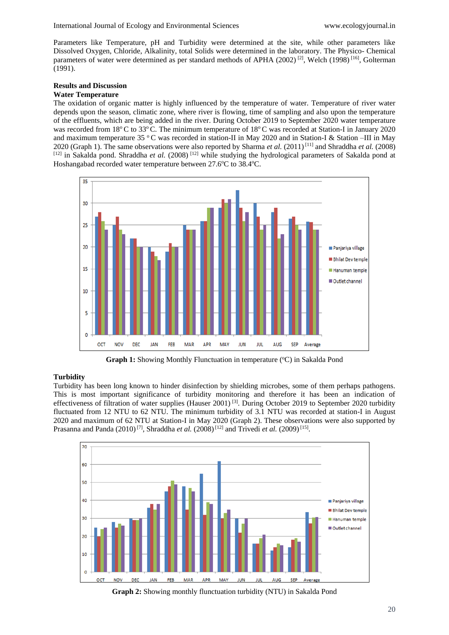Parameters like Temperature, pH and Turbidity were determined at the site, while other parameters like Dissolved Oxygen, Chloride, Alkalinity, total Solids were determined in the laboratory. The Physico- Chemical parameters of water were determined as per standard methods of APHA (2002)<sup>[2]</sup>, Welch (1998)<sup>[16]</sup>, Golterman (1991).

### **Results and Discussion**

# **Water Temperature**

The oxidation of organic matter is highly influenced by the temperature of water. Temperature of river water depends upon the season, climatic zone, where river is flowing, time of sampling and also upon the temperature of the effluents, which are being added in the river. During October 2019 to September 2020 water temperature was recorded from 18 $^{\circ}$ C to 33 $^{\circ}$ C. The minimum temperature of 18 $^{\circ}$ C was recorded at Station-I in January 2020 and maximum temperature 35 °C was recorded in station-II in May 2020 and in Station-I & Station –III in May 2020 (Graph 1). The same observations were also reported by Sharma *et al.*  $(2011)^{[11]}$  and Shraddha *et al.*  $(2008)$ [12] in Sakalda pond. Shraddha et al. (2008)<sup>[12]</sup> while studying the hydrological parameters of Sakalda pond at Hoshangabad recorded water temperature between 27.6°C to 38.4°C.



**Graph 1:** Showing Monthly Flunctuation in temperature (°C) in Sakalda Pond

### **Turbidity**

Turbidity has been long known to hinder disinfection by shielding microbes, some of them perhaps pathogens. This is most important significance of turbidity monitoring and therefore it has been an indication of effectiveness of filtration of water supplies (Hauser 2001)<sup>[3]</sup>. During October 2019 to September 2020 turbidity fluctuated from 12 NTU to 62 NTU. The minimum turbidity of 3.1 NTU was recorded at station-I in August 2020 and maximum of 62 NTU at Station-I in May 2020 (Graph 2). These observations were also supported by Prasanna and Panda (2010)<sup>[7]</sup>, Shraddha *et al.* (2008)<sup>[12]</sup> and Trivedi *et al.* (2009)<sup>[15]</sup>.



**Graph 2:** Showing monthly flunctuation turbidity (NTU) in Sakalda Pond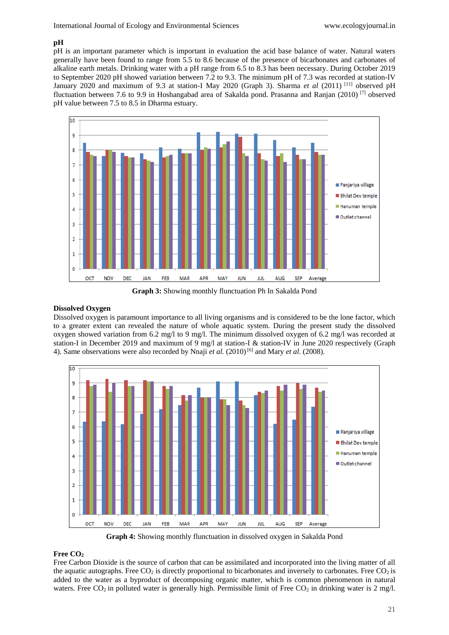### **pH**

pH is an important parameter which is important in evaluation the acid base balance of water. Natural waters generally have been found to range from 5.5 to 8.6 because of the presence of bicarbonates and carbonates of alkaline earth metals. Drinking water with a pH range from 6.5 to 8.3 has been necessary. During October 2019 to September 2020 pH showed variation between 7.2 to 9.3. The minimum pH of 7.3 was recorded at station-IV January 2020 and maximum of 9.3 at station-I May 2020 (Graph 3). Sharma *et al* (2011) [11] observed pH fluctuation between 7.6 to 9.9 in Hoshangabad area of Sakalda pond. Prasanna and Ranjan (2010) [7] observed pH value between 7.5 to 8.5 in Dharma estuary.



**Graph 3:** Showing monthly flunctuation Ph In Sakalda Pond

#### **Dissolved Oxygen**

Dissolved oxygen is paramount importance to all living organisms and is considered to be the lone factor, which to a greater extent can revealed the nature of whole aquatic system. During the present study the dissolved oxygen showed variation from 6.2 mg/l to 9 mg/l. The minimum dissolved oxygen of 6.2 mg/l was recorded at station-I in December 2019 and maximum of 9 mg/l at station-I & station-IV in June 2020 respectively (Graph 4). Same observations were also recorded by Nnaji *et al.* (2010)<sup>[6]</sup> and Mary *et al.* (2008).



**Graph 4:** Showing monthly flunctuation in dissolved oxygen in Sakalda Pond

#### **Free CO<sup>2</sup>**

Free Carbon Dioxide is the source of carbon that can be assimilated and incorporated into the living matter of all the aquatic autographs. Free  $CO_2$  is directly proportional to bicarbonates and inversely to carbonates. Free  $CO_2$  is added to the water as a byproduct of decomposing organic matter, which is common phenomenon in natural waters. Free  $CO_2$  in polluted water is generally high. Permissible limit of Free  $CO_2$  in drinking water is 2 mg/l.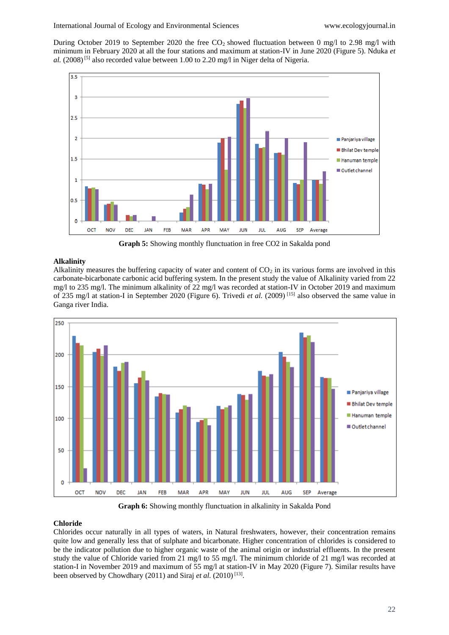During October 2019 to September 2020 the free CO<sub>2</sub> showed fluctuation between 0 mg/l to 2.98 mg/l with minimum in February 2020 at all the four stations and maximum at station-IV in June 2020 (Figure 5). Nduka *et*  al. (2008)<sup>[5]</sup> also recorded value between 1.00 to 2.20 mg/l in Niger delta of Nigeria.



**Graph 5:** Showing monthly flunctuation in free CO2 in Sakalda pond

## **Alkalinity**

Alkalinity measures the buffering capacity of water and content of  $CO<sub>2</sub>$  in its various forms are involved in this carbonate-bicarbonate carbonic acid buffering system. In the present study the value of Alkalinity varied from 22 mg/l to 235 mg/l. The minimum alkalinity of 22 mg/l was recorded at station-IV in October 2019 and maximum of 235 mg/l at station-I in September 2020 (Figure 6). Trivedi *et al.* (2009) [15] also observed the same value in Ganga river India.



**Graph 6:** Showing monthly flunctuation in alkalinity in Sakalda Pond

### **Chloride**

Chlorides occur naturally in all types of waters, in Natural freshwaters, however, their concentration remains quite low and generally less that of sulphate and bicarbonate. Higher concentration of chlorides is considered to be the indicator pollution due to higher organic waste of the animal origin or industrial effluents. In the present study the value of Chloride varied from 21 mg/l to 55 mg/l. The minimum chloride of 21 mg/l was recorded at station-I in November 2019 and maximum of 55 mg/l at station-IV in May 2020 (Figure 7). Similar results have been observed by Chowdhary (2011) and Siraj *et al.* (2010)<sup>[13]</sup>.